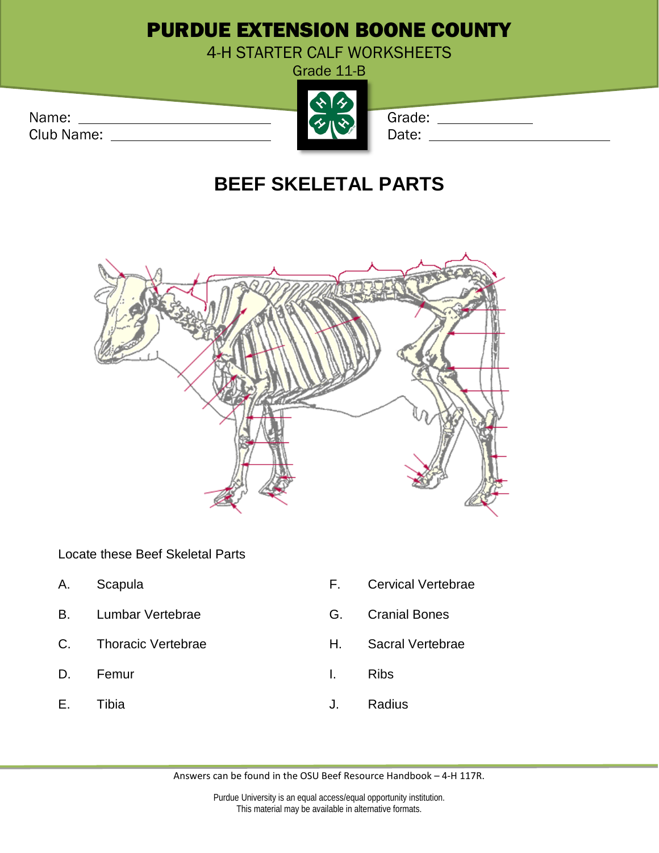## PURDUE EXTENSION BOONE COUNTY

4-H STARTER CALF WORKSHEETS

Grade 11-B

Club Name: Date: Date: Date: Date: Date: Date: Date: Date: Date: Date: Date: Date: Date: Date: Date: Date: Date: Date: Date: Date: Date: Date: Date: Date: Date: Date: Date: Date: Date: Date: Date: Date: Date: Date: Date: D



## **BEEF SKELETAL PARTS**



Locate these Beef Skeletal Parts

- 
- B. Lumbar Vertebrae G. Granial Bones
- C. Thoracic Vertebrae **H.** Sacral Vertebrae
- D. Femur **I.** Ribs
- 
- A. Scapula **F.** Cervical Vertebrae
	-
	-
	-
- E. Tibia J. Radius